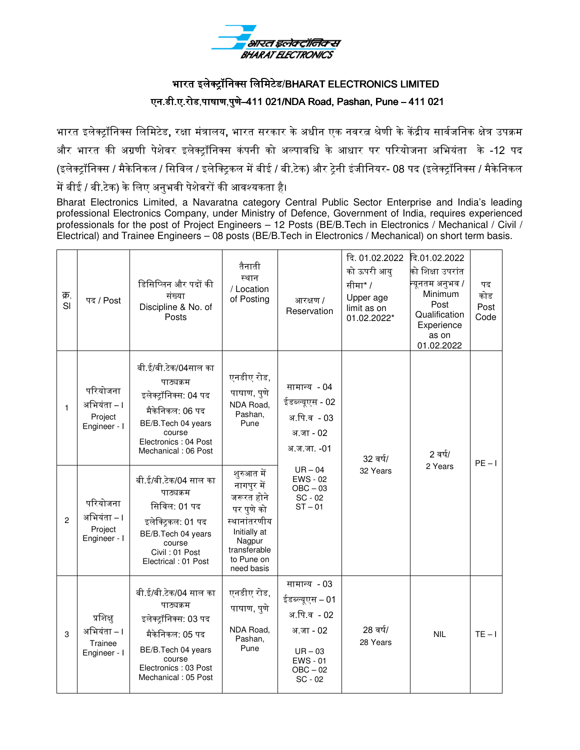

# भारत इलेक्ट्रॉनिक्स लिमिटेड/ BHARAT ELECTRONICS LIMITED एन.डी.ए.रोड,पाषाण,पुणे–411 021/NDA Road, Pashan, Pune – 411 021

भारत इलेक्ट्रॉनिक्स लिमिटेड, रक्षा मंत्रालय, भारत सरकार के अधीन एक नवरत्न श्रेणी के केंद्रीय सार्वजनिक क्षेत्र उपक्रम और भारत की अग्रणी पेशेवर इलेक्ट्रॉनिक्स कंपनी को अल्पावधि के आधार पर परियोजना अभियंता के -12 पद (इलेक्ट्रॉनिक्स / मैकेनिकल / सिविल / इलेक्ट्रिकल में बीई / बी.टेक) और ट्रेनी इंजीनियर- 08 पद (इलेक्ट्रॉनिक्स / मैकेनिकल में बीई / बी.टेक) के लिए अनुभवी पेशेवरों की आवश्यकता है।

Bharat Electronics Limited, a Navaratna category Central Public Sector Enterprise and India's leading professional Electronics Company, under Ministry of Defence, Government of India, requires experienced professionals for the post of Project Engineers – 12 Posts (BE/B.Tech in Electronics / Mechanical / Civil / Electrical) and Trainee Engineers – 08 posts (BE/B.Tech in Electronics / Mechanical) on short term basis.

| क्र.<br>SI     | पद / Post                                          | डिसिप्लिन और पदों की<br>संख्या<br>Discipline & No. of<br>Posts                                                                                                | तैनाती<br>स्थान<br>/ Location<br>of Posting                                                                                                | आरक्षण /<br>Reservation                                                                                                                          | दि. 01.02.2022<br>को ऊपरी आयु<br>सीमा* /<br>Upper age<br>limit as on<br>01.02.2022* | दि.01.02.2022<br>को शिक्षा उपरांत<br>न्यूनतम अनुभव /<br>Minimum<br>Post<br>Qualification<br>Experience<br>as on<br>01.02.2022 | पद<br>कोड<br>Post<br>Code |
|----------------|----------------------------------------------------|---------------------------------------------------------------------------------------------------------------------------------------------------------------|--------------------------------------------------------------------------------------------------------------------------------------------|--------------------------------------------------------------------------------------------------------------------------------------------------|-------------------------------------------------------------------------------------|-------------------------------------------------------------------------------------------------------------------------------|---------------------------|
| $\mathbf{1}$   | परियोजना<br>अभियंता – ।<br>Project<br>Engineer - I | बी.ई/बी.टेक/04साल का<br>पाठ्यक्रम<br>इलेक्ट्रॉनिक्स: 04 पद<br>मैकेनिकल: 06 पद<br>BE/B.Tech 04 years<br>course<br>Electronics: 04 Post<br>Mechanical: 06 Post  | एनडीए रोड,<br>पाषाण, पुणे<br>NDA Road,<br>Pashan,<br>Pune                                                                                  | सामान्य - 04<br>ईडब्ल्यूएस - 02<br>अ.पि.व - 03<br>अ.जा - 02<br>अ.ज.जा. -01<br>$UR - 04$<br><b>EWS - 02</b><br>$OBC - 03$<br>SC - 02<br>$ST - 01$ | 32 वर्ष/<br>32 Years                                                                | 2 वर्ष/<br>2 Years                                                                                                            | $PE - I$                  |
| $\overline{c}$ | परियोजना<br>अभियंता – ।<br>Project<br>Engineer - I | बी.ई/बी.टेक/04 साल का<br>पाठ्यक्रम<br>सिविल: 01 पद<br>इलेक्ट्रिकल: 01 पद<br>BE/B.Tech 04 years<br>course<br>Civil: 01 Post<br>Electrical: 01 Post             | शुरुआत में<br>नागपुर में<br>जरूरत होने<br>पर पुणे को<br>स्थानांतरणीय<br>Initially at<br>Nagpur<br>transferable<br>to Pune on<br>need basis |                                                                                                                                                  |                                                                                     |                                                                                                                               |                           |
| 3              | प्रशिक्ष<br>अभियंता – ।<br>Trainee<br>Engineer - I | बी.ई/बी.टेक/04 साल का<br>पाठ्यक्रम<br>इलेक्ट्रॉनिक्स: 03 पद<br>मैकेनिकल: 05 पद<br>BE/B.Tech 04 years<br>course<br>Electronics: 03 Post<br>Mechanical: 05 Post | एनडीए रोड,<br>पाषाण, पुणे<br>NDA Road,<br>Pashan,<br>Pune                                                                                  | सामान्य - 03<br>ईडब्ल्यूएस – 01<br>अ.पि.व - 02<br>अ.जा - 02<br>$UR - 03$<br><b>EWS - 01</b><br>$OBC - 02$<br>$SC - 02$                           | 28 वर्ष/<br>28 Years                                                                | <b>NIL</b>                                                                                                                    | $TE - I$                  |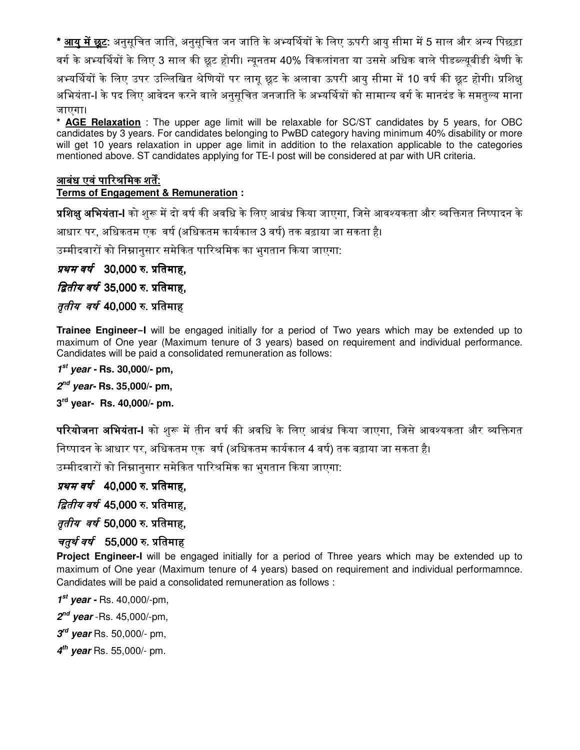\* <u>आयु में छूट</u>: अनुसूचित जाति, अनुसूचित जन जाति के अभ्यर्थियों के लिए ऊपरी आयु सीमा में 5 साल और अन्य पिछड़ा वर्ग के अभ्यर्थियों के लिए 3 साल की छूट होगी। न्युनतम 40% विकलांगता या उससे अधिक वाले पीडब्ल्युबीडी श्रेणी के अभ्यर्थियों के लिए उपर उल्लिखित श्रेणियों पर लागू छूट के अलावा ऊपरी आयु सीमा में 10 वर्ष की छूट होगी। प्रशिक्षु अभियंता-I के पद लिए आवेदन करने वाले अनुसूचित जनजाति के अभ्यर्थियों को सामान्य वर्ग के मानदंड के समतुल्य माना जाएगा।

**\* AGE Relaxation** : The upper age limit will be relaxable for SC/ST candidates by 5 years, for OBC candidates by 3 years. For candidates belonging to PwBD category having minimum 40% disability or more will get 10 years relaxation in upper age limit in addition to the relaxation applicable to the categories mentioned above. ST candidates applying for TE-I post will be considered at par with UR criteria.

#### आबंध एवं पारिश्रमिक शर्तें:

#### **Terms of Engagement & Remuneration :**

**प्रशिक्षु अभियंता-I** को शुरू में दो वर्ष की अवधि के लिए आबंध किया जाएगा, जिसे आवश्यकता और व्यक्तिगत निष्पादन के

आधार पर, अधिकतम एक वर्ष (अधिकतम कार्यकाल 3 वर्ष) तक बढ़ाया जा सकता है।

उम्मीदवारों को निम्नानुसार समेकित पारिश्रमिक का भुगतान किया जाएगा:

### *प्रथम वर्ष* 30,000 रु. प्रतिमाह,

### *द्वितीय वर्ष* 35,000 रु. प्रतिमाह,

#### *तृतीय वर्ष* 40,000 रु. प्रतिमाह

**Trainee Engineer–I** will be engaged initially for a period of Two years which may be extended up to maximum of One year (Maximum tenure of 3 years) based on requirement and individual performance. Candidates will be paid a consolidated remuneration as follows:

#### **1 st year - Rs. 30,000/- pm,**

**2 nd year- Rs. 35,000/- pm,** 

**3 rd year- Rs. 40,000/- pm.** 

<mark>परियोजना अभियंता-I</mark> को शुरू में तीन वर्ष की अवधि के लिए आबंध किया जाएगा, जिसे आवश्यकता और व्यक्तिगत निष्पादन के आधार पर, अधिकतम एक वर्ष (अधिकतम कार्यकाल 4 वर्ष) तक बढ़ाया जा सकता है।

उम्मीदवारों को निम्नानुसार समेकित पारिश्रमिक का भुगतान किया जाएगा:

#### *प्रथम वर्ष* 40,000 रु. प्रतिमाह,

*द्वितीय वर्ष 4*5,000 रु. प्रतिमाह,

### *तृतीय वर्ष* 50,000 रु. प्रतिमाह,

#### *चतुर्थ वर्ष* 55,000 रु. प्रतिमाह

**Project Engineer-I** will be engaged initially for a period of Three years which may be extended up to maximum of One year (Maximum tenure of 4 years) based on requirement and individual performamnce. Candidates will be paid a consolidated remuneration as follows :

- **1 st year -** Rs. 40,000/-pm,
- **2 nd year** -Rs. 45,000/-pm,

**3 rd year** Rs. 50,000/- pm,

**4 th year** Rs. 55,000/- pm.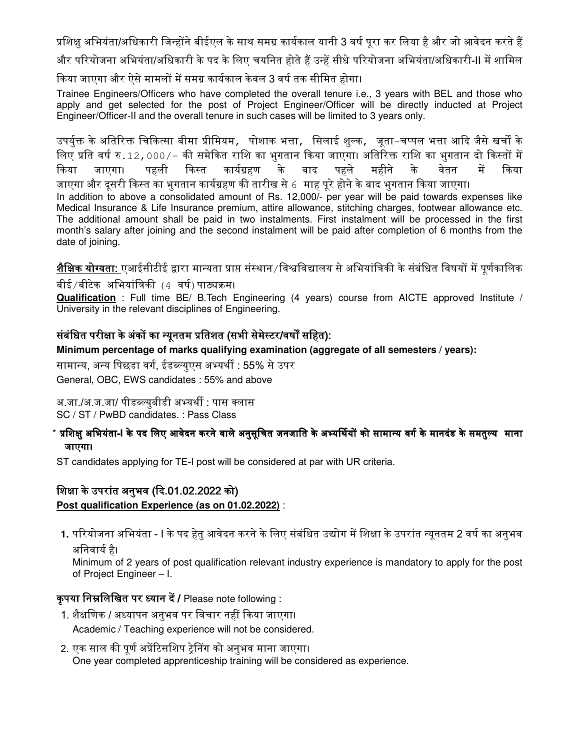प्रशिक्षु अभियंता/अधिकारी जिन्होंने बीईएल के साथ समग्र कार्यकाल यानी 3 वर्ष पूरा कर लिया है और जो आवेदन करते हैं

और परियोजना अभियंता/अधिकारी के पद के लिए चयनित होते हैं उन्हें सीधे परियोजना अभियंता/अधिकारी-II में शामिल

किया जाएगा और ऐसे मामलों में समग्र कार्यकाल केवल 3 वर्ष तक सीमित होगा।

Trainee Engineers/Officers who have completed the overall tenure i.e., 3 years with BEL and those who apply and get selected for the post of Project Engineer/Officer will be directly inducted at Project Engineer/Officer-II and the overall tenure in such cases will be limited to 3 years only.

उपर्युक्त के अतिरिक्त चिकित्सा बीमा प्रीमियम, पोशाक भत्ता, सिलाई शुल्क, जूता–चप्पल भत्ता आदि जैसे खर्चों के लिए प्रति वर्ष रु.12,000/– की समेकित राशि का भुगतान किया जाएगा। अतिरिक्त राशि का भुगतान दो किस्तों में किया जाएगा। पहली किस्त कार्यग्रहण के बाद पहले महीने के वेतन में किया जाएगा और दूसरी किस्त का भुगतान कार्यग्रहण की तारीख से 6 माह पूरे होने के बाद भुगतान किया जाएगा। In addition to above a consolidated amount of Rs. 12,000/- per year will be paid towards expenses like Medical Insurance & Life Insurance premium, attire allowance, stitching charges, footwear allowance etc. The additional amount shall be paid in two instalments. First instalment will be processed in the first month's salary after joining and the second instalment will be paid after completion of 6 months from the date of joining.

**शैक्षिक योग्यता:** एआईसीटीई द्वारा मान्यता प्राप्त संस्थान ⁄विश्वविद्यालय से अभियांत्रिकी के संबंधित विषयों में पूर्णकालिक

बीई ⁄ बीटेक अभियांत्रिकी (4 वर्ष) पाठ्यक्रम।

**Qualification** : Full time BE/ B.Tech Engineering (4 years) course from AICTE approved Institute / University in the relevant disciplines of Engineering.

### संबंधित परीक्षा के अंकों का न्यूनतम प्रतिशत (सभी सेमेस्टर/वर्षों सहित):

**Minimum percentage of marks qualifying examination (aggregate of all semesters / years):** 

सामान्य, अन्य पिछडा वर्ग, ईडब्ल्युएस अभ्यर्थी : 55% से उपर

General, OBC, EWS candidates : 55% and above

अ.जा./अ.ज.जा/ पीडब्ल्युबीडी अभ्यर्थी : पास क्लास SC / ST / PwBD candidates. : Pass Class

#### $^*$  प्रशिक्षु अभियंता-I के पद लिए आवेदन करने वाले अनुसूचित जनजाति के अभ्यर्थियों को सामान्य वर्ग के मानदंड के समतुल्य**ामाना** जाएगा।

ST candidates applying for TE-I post will be considered at par with UR criteria.

#### शिक्षा के उपरांत अनुभव (दि.01.02.2022 को)

**Post qualification Experience (as on 01.02.2022)** :

1. परियोजना अभियंता - I के पद हेतु आवेदन करने के लिए संबंधित उद्योग में शिक्षा के उपरांत न्यूनतम 2 वर्ष का अनुभव अनिवार्य है।

Minimum of 2 years of post qualification relevant industry experience is mandatory to apply for the post of Project Engineer – I.

#### कृपया निम्नलिखित पर ध्यान दें / Please note following :

- 1. शैक्षणिक / अध्यापन अनुभव पर विचार नहीं किया जाएगा। Academic / Teaching experience will not be considered.
- 2. एक साल की पूर्ण अप्रेंटिसशिप ट्रेनिंग को अनुभव माना जाएगा। One year completed apprenticeship training will be considered as experience.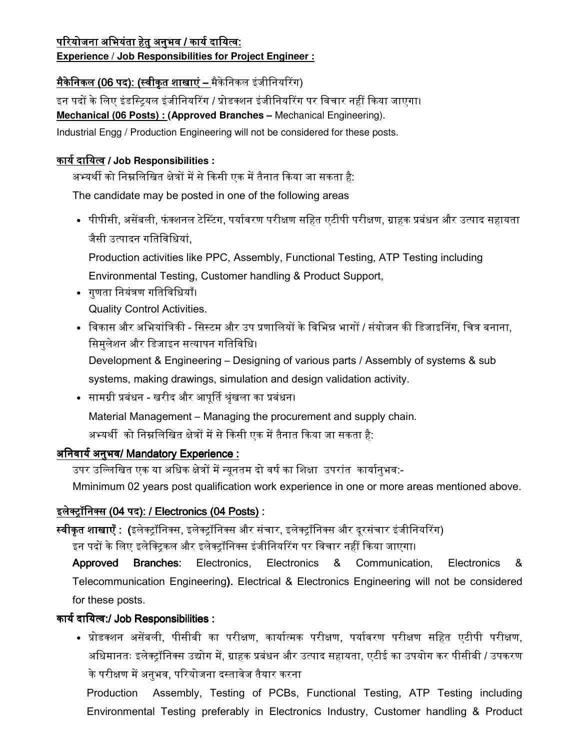## <u>परियोजना अभियंता हेतु अनुभव / कार्य दायित्व:</u>

### **Experience / Job Responsibilities for Project Engineer :**

## <u>मैकेनिकल (06 पद): (स्वीकृत शाखाएं – मै</u>केनिकल इंजीनियरिंग)

इन पदों के लिए इंडस्टियल इंजीनियरिंग / प्रोडक्शन इंजीनियरिंग पर विचार नहीं किया जाएगा। **Mechanical (06 Posts) : (Approved Branches –** Mechanical Engineering). Industrial Engg / Production Engineering will not be considered for these posts.

### <u>कार्य दायित्व</u> / Job Responsibilities :

अभ्यर्थी को निम्नलिखित क्षेत्रों में से किसी एक में तैनात किया जा सकता है:

The candidate may be posted in one of the following areas

• पीपीसी, असेंबली, फंक्शनल टेस्टिंग, पर्यावरण परीक्षण सहित एटीपी परीक्षण, ग्राहक प्रबंधन और उत्पाद सहायता जैसी उ᭜पादन गितिविधयां,

Production activities like PPC, Assembly, Functional Testing, ATP Testing including Environmental Testing, Customer handling & Product Support,

- गुणता िनयंᮢण गितिविधयाँ। Quality Control Activities.
- विकास और अभियांत्रिकी सिस्टम और उप प्रणालियों के विभिन्न भागों / संयोजन की डिजाइनिंग, चित्र बनाना, िसमुलेशन और िडजाइन स᭜यापन गितिविध। Development & Engineering – Designing of various parts / Assembly of systems & sub systems, making drawings, simulation and design validation activity.
- सामग्री प्रबंधन खरीद और आपूर्ति श्रृंखला का प्रबंधन। Material Management – Managing the procurement and supply chain. अभ्यर्थी को निम्नलिखित क्षेत्रों में से किसी एक में तैनात किया जा सकता है:

## अनिवार्य अनुभव/ Mandatory Experience :

उपर उल्लिखित एक या अधिक क्षेत्रों में न्यूनतम दो वर्ष का शिक्षा उपरांत कार्यानुभव:-

Mminimum 02 years post qualification work experience in one or more areas mentioned above.

## इलेक्ट्रॉनिक्स (04 पद): / Electronics (04 Posts) :

स्वीकृत शाखाएँ : (इलेक्ट्रॉनिक्स, इलेक्ट्रॉनिक्स और संचार, इलेक्ट्रॉनिक्स और दूरसंचार इंजीनियरिंग)

इन पदों के लिए इलेक्टिकल और इलेक्ट्रॉनिक्स इंजीनियरिंग पर विचार नहीं किया जाएगा।

Approved Branches: Electronics, Electronics & Communication, Electronics & Telecommunication Engineering). Electrical & Electronics Engineering will not be considered for these posts.

## कार्य दायित्व:/ Job Responsibilities :

• प्रोडक्शन असेंबली, पीसीबी का परीक्षण, कार्यात्मक परीक्षण, पर्यावरण परीक्षण सहित एटीपी परीक्षण, अधिमानतः इलेक्ट्रॉनिक्स उद्योग में, ग्राहक प्रबंधन और उत्पाद सहायता, एटीई का उपयोग कर पीसीबी / उपकरण के परीक्षण में अनुभव, परियोजना दस्तावेज तैयार करना

Production Assembly, Testing of PCBs, Functional Testing, ATP Testing including Environmental Testing preferably in Electronics Industry, Customer handling & Product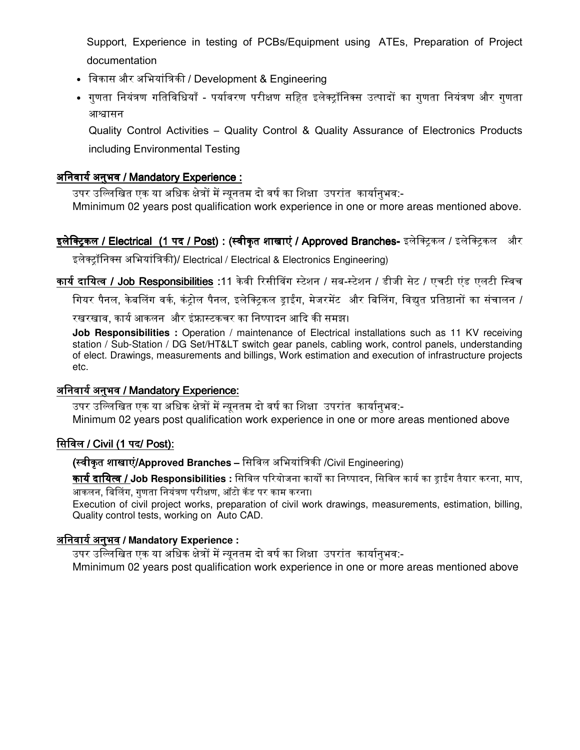Support, Experience in testing of PCBs/Equipment using ATEs, Preparation of Project documentation

- विकास और अभियांत्रिकी / Development & Engineering
- गुणता नियंत्रण गतिविधियाँ पर्यावरण परीक्षण सहित इलेक्ट्रॉनिक्स उत्पादों का गुणता नियंत्रण और गुणता आश्वासन

Quality Control Activities – Quality Control & Quality Assurance of Electronics Products including Environmental Testing

### अनिवार्य अनुभव / Mandatory Experience :

उपर उल्लिखित एक या अधिक क्षेत्रों में न्यनतम दो वर्ष का शिक्षा उपरांत कार्यानभव:-Mminimum 02 years post qualification work experience in one or more areas mentioned above.

### इ**लेक्ट्रिकल / Electrical (1 पद / Post) : (स्वीकृत शाखाएं / Approved Branches-** इलेक्ट्रिकल / इलेक्ट्रिकल और

इलेक्ट्रॉनिक्स अभियांत्रिकी)/ Electrical / Electrical & Electronics Engineering)

कार्य दायित्व / Job Responsibilities :11 केवी रिसीविंग स्टेशन / सब-स्टेशन / डीजी सेट / एचटी एंड एलटी स्विच

गियर पैनल, केबलिंग वर्क, कंट्रोल पैनल, इलेक्ट्रिकल ड्राईंग, मेजरमेंट और बिलिंग, विद्युत प्रतिष्ठानों का संचालन /

रखरखाव, कार्य आकलन और इंफ्रास्टकचर का निष्पादन आदि की समझ।

**Job Responsibilities :** Operation / maintenance of Electrical installations such as 11 KV receiving station / Sub-Station / DG Set/HT&LT switch gear panels, cabling work, control panels, understanding of elect. Drawings, measurements and billings, Work estimation and execution of infrastructure projects etc.

#### अनिवार्य अनुभव / Mandatory Experience:

उपर उल्लिखित एक या अधिक क्षेत्रों में न्यूनतम दो वर्ष का शिक्षा उपरांत कार्यानुभव:-Minimum 02 years post qualification work experience in one or more areas mentioned above

#### िसिवल / Civil (1 पद/ Post):

(स्वीकृत शाखाएं/Approved Branches – सिविल अभियांत्रिकी /Civil Engineering)

<u>कार्य दायित्व / Job Responsibilities : सिविल परियोजना कार्यों का निष्पादन, सिविल कार्य का ड़ाईंग तैयार करना, माप,</u> आकलन, बिलिंग, गणता नियंत्रण परीक्षण, ऑटो कॅड पर काम करना।

Execution of civil project works, preparation of civil work drawings, measurements, estimation, billing, Quality control tests, working on Auto CAD.

### अिनवायᭅ अनुभव / **Mandatory Experience :**

उपर उल्लिखित एक या अधिक क्षेत्रों में न्यूनतम दो वर्ष का शिक्षा उपरांत कार्यानुभव:-

Mminimum 02 years post qualification work experience in one or more areas mentioned above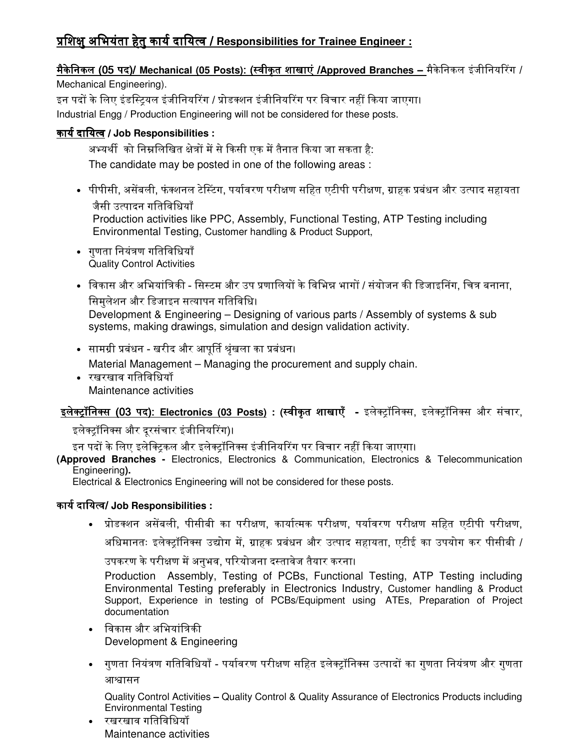# ᮧिशᭃु अिभयंता हेतु कायᭅ ᮧिशᭃु अिभयंता हेतु कायᭅदािय᭜व/ **Responsibilities for Trainee Engineer :**

## **मैकेनिकल (05 पद)/ Mechanical (05 Posts): (स्वीकुत शाखाएं /Approved Branches – मैकेनिकल इंजीनियरिंग /**

Mechanical Engineering).

इन पदों के लिए इंडस्टियल इंजीनियरिंग / प्रोडक्शन इंजीनियरिंग पर विचार नहीं किया जाएगा। Industrial Engg / Production Engineering will not be considered for these posts.

### कायᭅदािय᭜व / **Job Responsibilities :**

अभ्यर्थी को निम्नलिखित क्षेत्रों में से किसी एक में तैनात किया जा सकता है: The candidate may be posted in one of the following areas :

- पीपीसी, असेंबली, फंक्शनल टेस्टिंग, पर्यावरण परीक्षण सहित एटीपी परीक्षण, ग्राहक प्रबंधन और उत्पाद सहायता जैसी उ᭜पादन गितिविधयाँ Production activities like PPC, Assembly, Functional Testing, ATP Testing including Environmental Testing, Customer handling & Product Support,
- गुणता िनयंᮢण गितिविधयाँ Quality Control Activities
- विकास और अभियांत्रिकी सिस्टम और उप प्रणालियों के विभिन्न भागों / संयोजन की डिजाइनिंग, चित्र बनाना, िसमुलेशन और िडजाइन स᭜यापन गितिविध। Development & Engineering – Designing of various parts / Assembly of systems & sub systems, making drawings, simulation and design validation activity.
- सामᮕी ᮧबंधन खरीद और आपूᳶत ᮰ृंखला का ᮧबंधन।

Material Management – Managing the procurement and supply chain.

• रखरखाव गतिविधियाँ Maintenance activities

# <u>इले<mark>क्ट्रॉनिक्स (03 पद): Electronics (03 Posts)</u> : (स्वीकृत शाखाएँ - इलेक्ट्रॉनिक्स, इलेक्ट्रॉनिक्स और संचार,</u></mark>

इलेक्ट्रॉनिक्स और दूरसंचार इंजीनियरिंग)।

इन पदों के लिए इलेक्ट्रिकल और इलेक्ट्रॉनिक्स इंजीनियरिंग पर विचार नहीं किया जाएगा।

**(Approved Branches -** Electronics, Electronics & Communication, Electronics & Telecommunication Engineering**).** 

Electrical & Electronics Engineering will not be considered for these posts.

### कायᭅदािय᭜व/ **Job Responsibilities :**

• प्रोडक्शन असेंबली, पीसीबी का परीक्षण, कार्यात्मक परीक्षण, पर्यावरण परीक्षण सहित एटीपी परीक्षण,

अधिमानतः इलेक्टॉनिक्स उद्योग में, ग्राहक प्रबंधन और उत्पाद सहायता, एटीई का उपयोग कर पीसीबी /

उपकरण के परीक्षण में अनुभव, परियोजना दस्तावेज तैयार करना।

Production Assembly, Testing of PCBs, Functional Testing, ATP Testing including Environmental Testing preferably in Electronics Industry, Customer handling & Product Support, Experience in testing of PCBs/Equipment using ATEs, Preparation of Project documentation

- विकास और अभियांत्रिकी Development & Engineering
- गुणता नियंत्रण गतिविधियाँ पर्यावरण परीक्षण सहित इलेक्ट्रॉनिक्स उत्पादों का गुणता नियंत्रण और गुणता आश्वासन

Quality Control Activities **–** Quality Control & Quality Assurance of Electronics Products including Environmental Testing

<u>रखरखाव गतिविधियॉ</u> Maintenance activities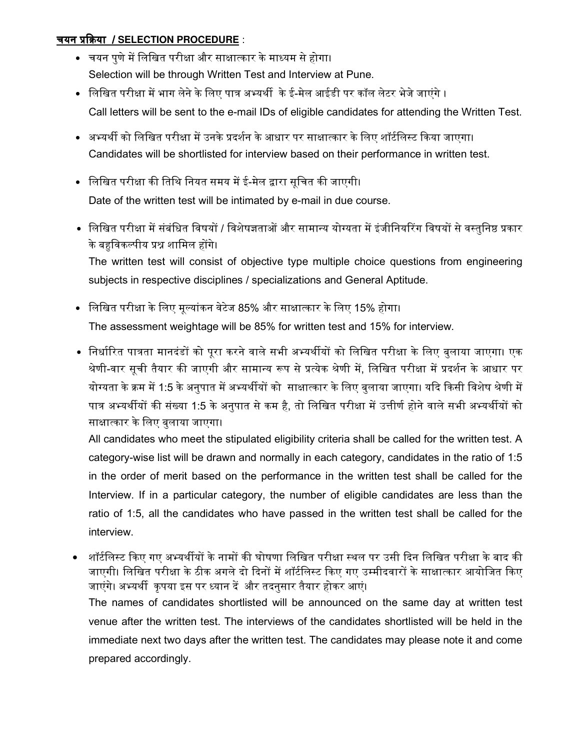#### चयन ᮧᳰᮓया / **SELECTION PROCEDURE** :

- चयन पुणे में लिखित परीक्षा और साक्षात्कार के माध्यम से होगा। Selection will be through Written Test and Interview at Pune.
- लिखित परीक्षा में भाग लेने के लिए पात्र अभ्यर्थी के ई-मेल आईडी पर कॉल लेटर भेजे जाएंगे । Call letters will be sent to the e-mail IDs of eligible candidates for attending the Written Test.
- अभ्यर्थी को लिखित परीक्षा में उनके प्रदर्शन के आधार पर साक्षात्कार के लिए शॉर्टलिस्ट किया जाएगा। Candidates will be shortlisted for interview based on their performance in written test.
- ∙ लिखित परीक्षा की तिथि नियत समय में ई-मेल द्वारा सूचित की जाएगी। Date of the written test will be intimated by e-mail in due course.
- लिखित परीक्षा में संबंधित विषयों / विशेषज्ञताओं और सामान्य योग्यता में इंजीनियरिंग विषयों से वस्तुनिष्ठ प्रकार के बहुविकल्पीय प्रश्न शामिल होंगे। The written test will consist of objective type multiple choice questions from engineering subjects in respective disciplines / specializations and General Aptitude.
- िलिखत परीᭃा के िलए मू᭨यांकन वेटेज 85% और साᭃा᭜कार के िलए 15% होगा। The assessment weightage will be 85% for written test and 15% for interview.
- निर्धारित पात्रता मानदंडों को पूरा करने वाले सभी अभ्यर्थीयों को लिखित परीक्षा के लिए बुलाया जाएगा। एक श्रेणी-वार सूची तैयार की जाएगी और सामान्य रूप से प्रत्येक श्रेणी में, लिखित परीक्षा में प्रदर्शन के आधार पर योग्यता के क्रम में 1:5 के अनुपात में अभ्यर्थीयों को साक्षात्कार के लिए बुलाया जाएगा। यदि किसी विशेष श्रेणी में पात्र अभ्यर्थीयों की संख्या 1:5 के अनुपात से कम है, तो लिखित परीक्षा में उत्तीर्ण होने वाले सभी अभ्यर्थीयों को साक्षात्कार के लिए बुलाया जाएगा।

All candidates who meet the stipulated eligibility criteria shall be called for the written test. A category-wise list will be drawn and normally in each category, candidates in the ratio of 1:5 in the order of merit based on the performance in the written test shall be called for the Interview. If in a particular category, the number of eligible candidates are less than the ratio of 1:5, all the candidates who have passed in the written test shall be called for the interview.

• शॉर्टलिस्ट किए गए अभ्यर्थीयों के नामों की घोषणा लिखित परीक्षा स्थल पर उसी दिन लिखित परीक्षा के बाद की जाएगी। लिखित परीक्षा के ठीक अगले दो दिनों में शॉर्टलिस्ट किए गए उम्मीदवारों के साक्षात्कार आयोजित किए जाएंगे। अभ्यर्थी कृपया इस पर ध्यान दें और तदनुसार तैयार होकर आएं। The names of candidates shortlisted will be announced on the same day at written test venue after the written test. The interviews of the candidates shortlisted will be held in the immediate next two days after the written test. The candidates may please note it and come prepared accordingly.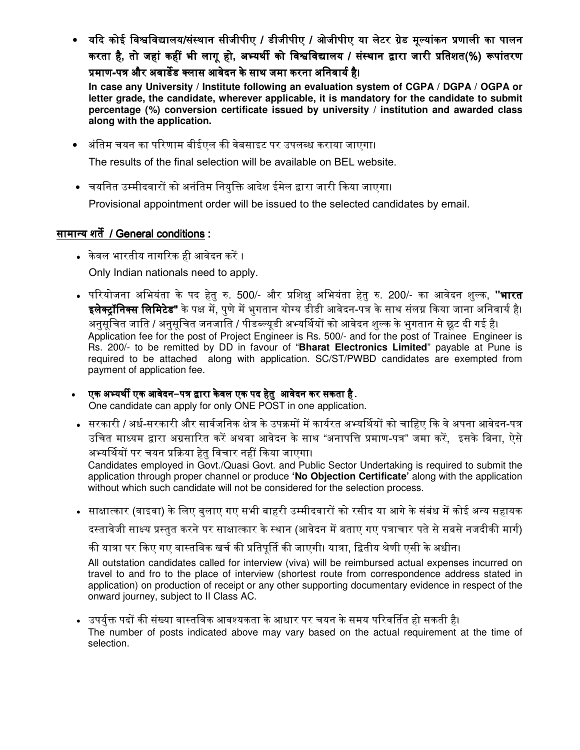• यदि कोई विश्वविद्यालय/संस्थान सीजीपीए / डीजीपीए / ओजीपीए या लेटर ग्रेड मूल्यांकन प्रणाली का पालन करता है, तो जहां कहीं भी लागू हो, अभ्यर्थी को विश्वविद्यालय / संस्थान द्वारा जारी प्रतिशत(%) रूपांतरण प्रमाण-पत्र और अवार्डेड क्लास आवेदन के साथ जमा करना अनिवार्य है।

**In case any University / Institute following an evaluation system of CGPA / DGPA / OGPA or letter grade, the candidate, wherever applicable, it is mandatory for the candidate to submit percentage (%) conversion certificate issued by university / institution and awarded class along with the application.** 

- अंतिम चयन का परिणाम बीईएल की वेबसाइट पर उपलब्ध कराया जाएगा। The results of the final selection will be available on BEL website.
- चयनित उम्मीदवारों को अनंतिम नियुक्ति आदेश ईमेल द्वारा जारी किया जाएगा। Provisional appointment order will be issued to the selected candidates by email.

### सामान्य शर्ते / General conditions :

- केवल भारतीय नागᳯरक ही आवेदन करᱶ । Only Indian nationals need to apply.
- परियोजना अभियंता के पद हेतु रु. 500/- और प्रशिक्षु अभियंता हेतु रु. 200/- का आवेदन शुल्क, **"भारत** इलेक्ट्रॉनिक्स लिमिटेड" के पक्ष में, पुणे में भुगतान योग्य डीडी आवेदन-पत्र के साथ संलग्न किया जाना अनिवार्य है। अनुसूचित जाति / अनुसूचित जनजाति / पीडब्ल्युडी अभ्यर्थियों को आवेदन शुल्क के भुगतान से छुट दी गई है। Application fee for the post of Project Engineer is Rs. 500/- and for the post of Trainee Engineer is Rs. 200/- to be remitted by DD in favour of "**Bharat Electronics Limited**" payable at Pune is required to be attached along with application. SC/ST/PWBD candidates are exempted from payment of application fee.
- एक अ᭤यथᱮएक आवेदन एक आवेदन**-**पᮢ ᳇ारा के वल एक पद हेतु पद हेतुआवेदन कर सकता है**.**  One candidate can apply for only ONE POST in one application.
- सरकारी / अर्ध-सरकारी और सार्वजनिक क्षेत्र के उपक्रमों में कार्यरत अभ्यर्थियों को चाहिए कि वे अपना आवेदन-पत्र उचित माध्यम द्वारा अग्रसारित करें अथवा आवेदन के साथ "अनापत्ति प्रमाण-पत्र" जमा करें, इसके बिना, ऐसे अभ्यर्थियों पर चयन प्रक्रिया हेतु विचार नहीं किया जाएगा।

Candidates employed in Govt./Quasi Govt. and Public Sector Undertaking is required to submit the application through proper channel or produce **'No Objection Certificate'** along with the application without which such candidate will not be considered for the selection process.

• साक्षात्कार (वाइवा) के लिए बुलाए गए सभी बाहरी उम्मीदवारों को रसीद या आगे के संबंध में कोई अन्य सहायक

दस्तावेजी साक्ष्य प्रस्तुत करने पर साक्षात्कार के स्थान (आवेदन में बताए गए पत्राचार पते से सबसे नजदीकी मार्ग)

की यात्रा पर किए गए वास्तविक खर्च की प्रतिपूर्ति की जाएगी। यात्रा, द्वितीय श्रेणी एसी के अधीन।

All outstation candidates called for interview (viva) will be reimbursed actual expenses incurred on travel to and fro to the place of interview (shortest route from correspondence address stated in application) on production of receipt or any other supporting documentary evidence in respect of the onward journey, subject to II Class AC.

<u>.</u> उपर्युक्त पदों की संख्या वास्तविक आवश्यकता के आधार पर चयन के समय परिवर्तित हो सकती है। The number of posts indicated above may vary based on the actual requirement at the time of selection.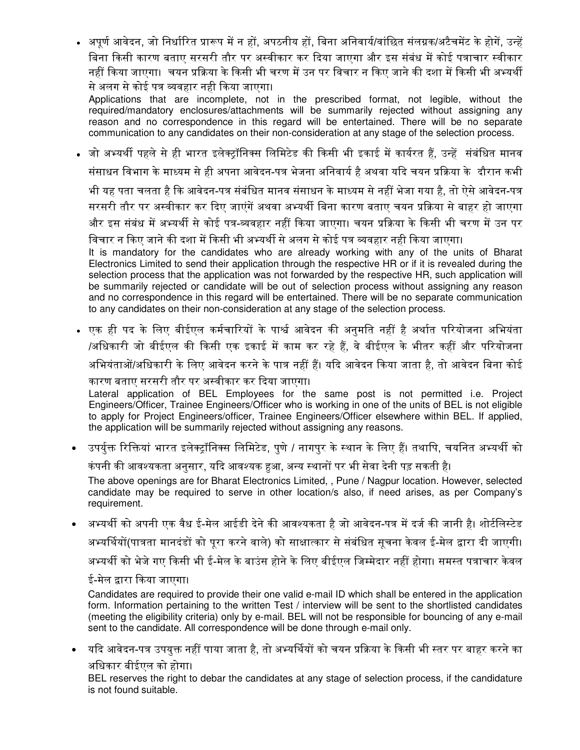• अपूर्ण आवेदन, जो निर्धारित प्रारूप में न हों, अपठनीय हों, बिना अनिवार्य/वांछित संलग्नक/अटैचमेंट के होगें, उन्हें <u>बिना किसी कारण बताए सरसरी तौर पर अस्वीकार कर दिया जाएगा और इस संबंध में कोई पत्राचार स्वीकार</u> नहीं किया जाएगा। चयन प्रक्रिया के किसी भी चरण में उन पर विचार न किए जाने की दशा में किसी भी अभ्यर्थी से अलग से कोई पत्र व्यवहार नही किया जाएगा।

Applications that are incomplete, not in the prescribed format, not legible, without the required/mandatory enclosures/attachments will be summarily rejected without assigning any reason and no correspondence in this regard will be entertained. There will be no separate communication to any candidates on their non-consideration at any stage of the selection process.

• जो अभ्यर्थी पहले से ही भारत इलेक्ट्रॉनिक्स लिमिटेड की किसी भी इकाई में कार्यरत हैं, उन्हें संबंधित मानव संसाधन विभाग के माध्यम से ही अपना आवेदन-पत्र भेजना अनिवार्य है अथवा यदि चयन प्रक्रिया के दौरान कभी भी यह पता चलता है कि आवेदन-पत्र संबंधित मानव संसाधन के माध्यम से नहीं भेजा गया है, तो ऐसे आवेदन-पत्र सरसरी तौर पर अस्वीकार कर दिए जाएंगें अथवा अभ्यर्थी बिना कारण बताए चयन प्रक्रिया से बाहर हो जाएगा और इस संबंध में अभ्यर्थी से कोई पत्र-व्यवहार नहीं किया जाएगा। चयन प्रक्रिया के किसी भी चरण में उन पर विचार न किए जाने की दशा में किसी भी अभ्यर्थी से अलग से कोई पत्र व्यवहार नही किया जाएगा।

It is mandatory for the candidates who are already working with any of the units of Bharat Electronics Limited to send their application through the respective HR or if it is revealed during the selection process that the application was not forwarded by the respective HR, such application will be summarily rejected or candidate will be out of selection process without assigning any reason and no correspondence in this regard will be entertained. There will be no separate communication to any candidates on their non-consideration at any stage of the selection process.

• एक ही पद के लिए बीईएल कर्मचारियों के पार्श्व आवेदन की अनुमति नहीं है अर्थात परियोजना अभियंता /अधिकारी जो बीईएल की किसी एक इकाई में काम कर रहे हैं, वे बीईएल के भीतर कहीं और परियोजना अभियंताओं/अधिकारी के लिए आवेदन करने के पात्र नहीं हैं। यदि आवेदन किया जाता है, तो आवेदन बिना कोई कारण बताए सरसरी तौर पर अ᭭वीकार कर ᳰदया जाएगा।

Lateral application of BEL Employees for the same post is not permitted i.e. Project Engineers/Officer, Trainee Engineers/Officer who is working in one of the units of BEL is not eligible to apply for Project Engineers/officer, Trainee Engineers/Officer elsewhere within BEL. If applied, the application will be summarily rejected without assigning any reasons.

• उपर्युक्त रिक्तियां भारत इलेक्ट्रॉनिक्स लिमिटेड, पुणे / नागपुर के स्थान के लिए हैं। तथापि, चयनित अभ्यर्थी को

कंपनी की आवश्यकता अनुसार, यदि आवश्यक हुआ, अन्य स्थानों पर भी सेवा देनी पड़ सकती है।

The above openings are for Bharat Electronics Limited, , Pune / Nagpur location. However, selected candidate may be required to serve in other location/s also, if need arises, as per Company's requirement.

• अभ्यर्थी को अपनी एक वैध ई-मेल आईडी देने की आवश्यकता है जो आवेदन-पत्र में दर्ज की जानी है। शोर्टलिस्टेड अभ्यर्थियों(पात्रता मानदंडों को पुरा करने वाले) को साक्षात्कार से संबंधित सूचना केवल ई-मेल द्वारा दी जाएगी। अभ्यर्थी को भेजे गए किसी भी ई-मेल के बाउंस होने के लिए बीईएल जिम्मेदार नहीं होगा। समस्त पत्राचार केवल

#### ई-मेल द्वारा किया जाएगा।

Candidates are required to provide their one valid e-mail ID which shall be entered in the application form. Information pertaining to the written Test / interview will be sent to the shortlisted candidates (meeting the eligibility criteria) only by e-mail. BEL will not be responsible for bouncing of any e-mail sent to the candidate. All correspondence will be done through e-mail only.

्यदि आवेदन-पत्र उपयुक्त नहीं पाया जाता है, तो अभ्यर्थियों को चयन प्रक्रिया के किसी भी स्तर पर बाहर करने का अिधकार बीईएल को होगा।

BEL reserves the right to debar the candidates at any stage of selection process, if the candidature is not found suitable.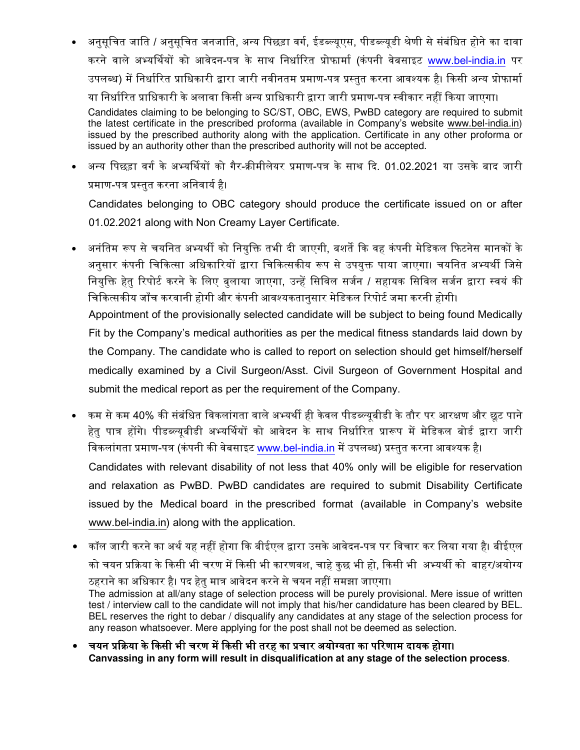- <u>अनुसूचित जाति / अनुसूचित जनजाति, अन्य पिछड़ा वर्ग, ईडब्ल्यूएस, पीडब्ल्यूडी श्रेणी से संबंधित होने का दावा</u> करने वाले अभ्यर्थियों को आवेदन-पत्र के साथ निर्धारित प्रोफार्मा (कंपनी वेबसाइट www.bel-india.in पर उपलब्ध) में निर्धारित प्राधिकारी द्वारा जारी नवीनतम प्रमाण-पत्र प्रस्तुत करना आवश्यक है। किसी अन्य प्रोफार्मा या निर्धारित प्राधिकारी के अलावा किसी अन्य प्राधिकारी द्वारा जारी प्रमाण-पत्र स्वीकार नहीं किया जाएगा। Candidates claiming to be belonging to SC/ST, OBC, EWS, PwBD category are required to submit the latest certificate in the prescribed proforma (available in Company's website www.bel-india.in) issued by the prescribed authority along with the application. Certificate in any other proforma or issued by an authority other than the prescribed authority will not be accepted.
- अन्य पिछड़ा वर्ग के अभ्यर्थियों को गैर-क्रीमीलेयर प्रमाण-पत्र के साथ दि. 01.02.2021 या उसके बाद जारी प्रमाण-पत्र प्रस्तत करना अनिवार्य है।

Candidates belonging to OBC category should produce the certificate issued on or after 01.02.2021 along with Non Creamy Layer Certificate.

• अनंतिम रूप से चयनित अभ्यर्थी को नियुक्ति तभी दी जाएगी, बशर्ते कि वह कंपनी मेडिकल फिटनेस मानकों के अनुसार कंपनी चिकित्सा अधिकारियों द्वारा चिकित्सकीय रूप से उपयुक्त पाया जाएगा। चयनित अभ्यर्थी जिसे नियुक्ति हेतु रिपोर्ट करने के लिए बुलाया जाएगा, उन्हें सिविल सर्जन / सहायक सिविल सर्जन द्वारा स्वयं की चिकित्सकीय जाँच करवानी होगी और कंपनी आवश्यकतानुसार मेडिकल रिपोर्ट जमा करनी होगी। Appointment of the provisionally selected candidate will be subject to being found Medically

Fit by the Company's medical authorities as per the medical fitness standards laid down by the Company. The candidate who is called to report on selection should get himself/herself medically examined by a Civil Surgeon/Asst. Civil Surgeon of Government Hospital and submit the medical report as per the requirement of the Company.

- कम से कम 40% की संबंधित विकलांगता वाले अभ्यर्थी ही केवल पीडब्ल्यूबीडी के तौर पर आरक्षण और छूट पाने हेतु पात्र होंगे। पीडब्ल्युबीडी अभ्यर्थियों को आवेदन के साथ निर्धारित प्रारूप में मेडिकल बोर्ड द्वारा जारी विकलांगता प्रमाण-पत्र (कंपनी की वेबसाइट www.bel-india.in में उपलब्ध) प्रस्तुत करना आवश्यक है। Candidates with relevant disability of not less that 40% only will be eligible for reservation and relaxation as PwBD. PwBD candidates are required to submit Disability Certificate issued by the Medical board in the prescribed format (available in Company's website www.bel-india.in) along with the application.
- कॉल जारी करने का अर्थ यह नहीं होगा कि बीईएल द्वारा उसके आवेदन-पत्र पर विचार कर लिया गया है। बीईएल को चयन प्रक्रिया के किसी भी चरण में किसी भी कारणवश, चाहे कुछ भी हो, किसी भी अभ्यर्थी को बाहर/अयोग्य ठहराने का अधिकार है। पद हेतु मात्र आवेदन करने से चयन नहीं समझा जाएगा। The admission at all/any stage of selection process will be purely provisional. Mere issue of written test / interview call to the candidate will not imply that his/her candidature has been cleared by BEL. BEL reserves the right to debar / disqualify any candidates at any stage of the selection process for any reason whatsoever. Mere applying for the post shall not be deemed as selection.
- चयन प्रक्रिया के किसी भी चरण में किसी भी तरह का प्रचार अयोग्यता का परिणाम दायक होगा। **Canvassing in any form will result in disqualification at any stage of the selection process**.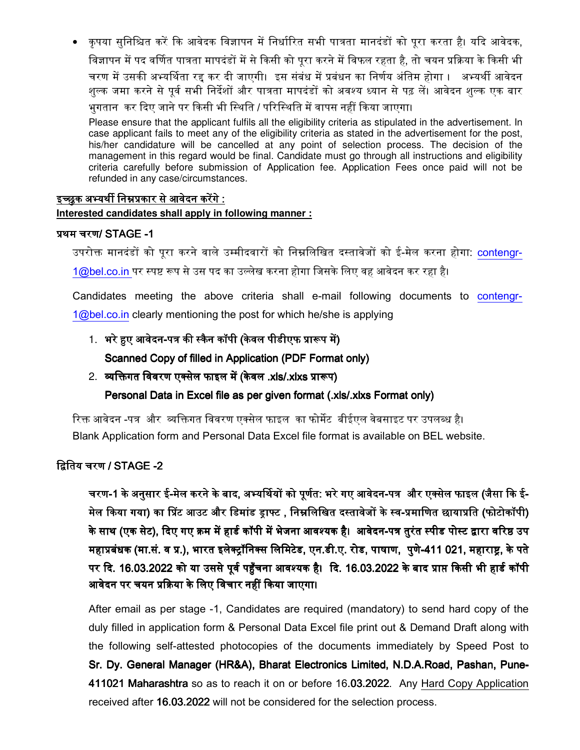• कृपया सुनिश्चित करें कि आवेदक विज्ञापन में निर्धारित सभी पात्रता मानदंडों को पूरा करता है। यदि आवेदक, विज्ञापन में पद वर्णित पात्रता मापदंडों में से किसी को पुरा करने में विफल रहता है. तो चयन प्रक्रिया के किसी भी चरण में उसकी अभ्यर्थिता रद्द कर दी जाएगी। इस संबंध में प्रबंधन का निर्णय अंतिम होगा । अभ्यर्थी आवेदन शुल्क जमा करने से पूर्व सभी निर्देशों और पात्रता मापदंडों को अवश्य ध्यान से पढ़ लें। आवेदन शुल्क एक बार भुगतान कर दिए जाने पर किसी भी स्थिति / परिस्थिति में वापस नहीं किया जाएगा।

Please ensure that the applicant fulfils all the eligibility criteria as stipulated in the advertisement. In case applicant fails to meet any of the eligibility criteria as stated in the advertisement for the post, his/her candidature will be cancelled at any point of selection process. The decision of the management in this regard would be final. Candidate must go through all instructions and eligibility criteria carefully before submission of Application fee. Application Fees once paid will not be refunded in any case/circumstances.

#### इच्छुक अभ्यर्थी निम्नप्रकार से आवेदन करेंगे : **Interested candidates shall apply in following manner :**

#### प्रथम चरण/ STAGE -1

उपरोक्त मानदंडों को पूरा करने वाले उम्मीदवारों को निम्नलिखित दस्तावेजों को ई-मेल करना होगा: contengr- $1@$ bel.co.in पर स्पष्ट रूप से उस पद का उल्लेख करना होगा जिसके लिए वह आवेदन कर रहा है।

Candidates meeting the above criteria shall e-mail following documents to contengr- $1@bel.co.in$  clearly mentioning the post for which he/she is applying

## 1. भरे हुए आवेदन-पत्र की स्कैन कॉपी (केवल पीडीएफ प्रारूप में)

### Scanned Copy of filled in Application (PDF Format only)

2. व्यक्तिगत विवरण एक्सेल फाइल में (केवल .xls/.xlxs प्रारूप)

### Personal Data in Excel file as per given format (.xls/.xlxs Format only)

रिक्त आवेदन -पत्र और व्यक्तिगत विवरण एक्सेल फाइल का फोर्मेट बीईएल वेबसाइट पर उपलब्ध है। Blank Application form and Personal Data Excel file format is available on BEL website.

### $G$ तिय चरण / STAGE -2

चरण-1 के अनुसार ई-मेल करने के बाद, अभ्यर्थियों को पूर्णत: भरे गए आवेदन-पत्र और एक्सेल फाइल (जैसा कि ई-मेल किया गया) का प्रिंट आउट और डिमांड ड्राफ्ट , निम्नलिखित दस्तावेजों के स्व-प्रमाणित छायाप्रति (फोटोकॉपी) के साथ (एक सेट), दिए गए क्रम में हार्ड कॉपी में भेजना आवश्यक है। आवेदन-पत्र तुरंत स्पीड पोस्ट द्वारा वरिष्ठ उप महाप्रबंधक (मा.सं. व प्र.), भारत इलेक्ट्रॉनिक्स लिमिटेड, एन.डी.ए. रोड, पाषाण, पुणे-411 021, महाराष्ट, के पते पर दि. 16.03.2022 को या उससे पूर्व पहुँचना आवश्यक है। दि. 16.03.2022 के बाद प्राप्त किसी भी हार्ड कॉपी आवेदन पर चयन प्रक्रिया के लिए विचार नहीं किया जाएगा।

After email as per stage -1, Candidates are required (mandatory) to send hard copy of the duly filled in application form & Personal Data Excel file print out & Demand Draft along with the following self-attested photocopies of the documents immediately by Speed Post to Sr. Dy. General Manager (HR&A), Bharat Electronics Limited, N.D.A.Road, Pashan, Pune-411021 Maharashtra so as to reach it on or before 16.03.2022. Any Hard Copy Application received after 16.03.2022 will not be considered for the selection process.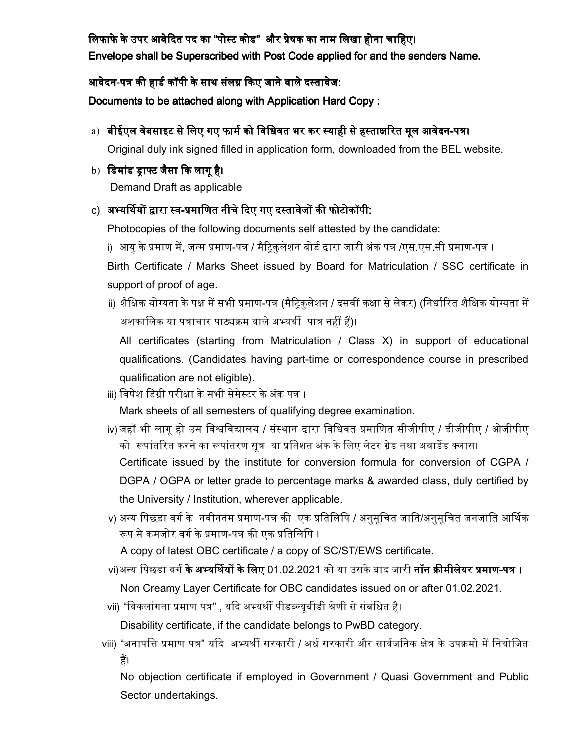लिफाफे के उपर आवेदित पद का "पोस्ट कोड" और प्रेषक का नाम लिखा होना चाहिए। Envelope shall be Superscribed with Post Code applied for and the senders Name.

आवेदन-पत्र की हार्ड कॉपी के साथ संलग्न किए जाने वाले दस्तावेज:

Documents to be attached along with Application Hard Copy :

## a) बीईएल वेबसाइट से लिए गए फार्म को विधिवत भर कर स्याही से हस्ताक्षरित मूल आवेदन-पत्र।

Original duly ink signed filled in application form, downloaded from the BEL website.

## b) डिमांड ड्राफ्ट जैसा कि लागू है।

Demand Draft as applicable

# c) अभ्यर्थियों द्वारा स्व-प्रमाणित नीचे दिए गए दस्तावेजों की फोटोकॉपी:

Photocopies of the following documents self attested by the candidate:

i) आयु के प्रमाण में, जन्म प्रमाण-पत्र / मैट्रिकुलेशन बोर्ड द्वारा जारी अंक पत्र /एस.एस.सी प्रमाण-पत्र ।

Birth Certificate / Marks Sheet issued by Board for Matriculation / SSC certificate in support of proof of age.

ii) शैक्षिक योग्यता के पक्ष में सभी प्रमाण-पत्र (मैट्रिकुलेशन / दसवीं कक्षा से लेकर) (निर्धारित शैक्षिक योग्यता में अंशकालिक या पत्राचार पाठ्यक्रम वाले अभ्यर्थी पात्र नहीं हैं)।

All certificates (starting from Matriculation / Class X) in support of educational qualifications. (Candidates having part-time or correspondence course in prescribed qualification are not eligible).

iii) विषेश डिग्री परीक्षा के सभी सेमेस्टर के अंक पत्र ।

Mark sheets of all semesters of qualifying degree examination.

- iv) जहाँ भी लागृ हो उस विश्वविद्यालय / संस्थान द्वारा विधिवत प्रमाणित सीजीपीए / डीजीपीए / ओजीपीए को रूपांतरित करने का रूपांतरण सूत्र या प्रतिशत अंक के लिए लेटर ग्रेड तथा अवार्डेड क्लास। Certificate issued by the institute for conversion formula for conversion of CGPA / DGPA / OGPA or letter grade to percentage marks & awarded class, duly certified by the University / Institution, wherever applicable.
- v) अन्य पिछडा वर्ग के नवीनतम प्रमाण-पत्र की एक प्रतिलिपि / अनुसूचित जाति/अनुसूचित जनजाति आर्थिक रूप से कमजोर वर्ग के प्रमाण-पत्र की एक प्रतिलिपि ।

A copy of latest OBC certificate / a copy of SC/ST/EWS certificate.

- vi)अन्य पिछडा वर्ग **के अभ्यर्थियों के लिए** 01.02.2021 को या उसके बाद जारी **नॉन क्रीमीलेयर प्रमाण-पत्र ।** Non Creamy Layer Certificate for OBC candidates issued on or after 01.02.2021.
- vii) "विकलांगता प्रमाण पत्र" , यदि अभ्यर्थी पीडब्ल्युबीडी श्रेणी से संबंधित है।

Disability certificate, if the candidate belongs to PwBD category.

viii) "अनापत्ति प्रमाण पत्र" यदि अभ्यर्थी सरकारी / अर्ध सरकारी और सार्वजनिक क्षेत्र के उपक्रमों में नियोजित हैं।

No objection certificate if employed in Government / Quasi Government and Public Sector undertakings.